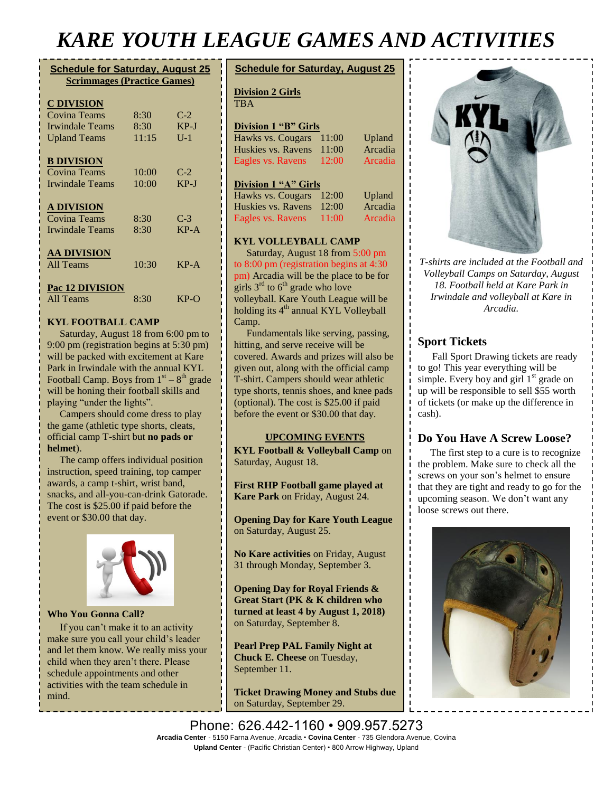## *KARE YOUTH LEAGUE GAMES AND ACTIVITIES*

#### **Schedule for Saturday, August 25 Scrimmages (Practice Games)**

#### **C DIVISION**

| <b>C</b> DI VIDIUIT |       |        |
|---------------------|-------|--------|
| Covina Teams        | 8:30  | $C-2$  |
| Irwindale Teams     | 8:30  | $KP-J$ |
| <b>Upland Teams</b> | 11:15 | $U-1$  |
| <b>B DIVISION</b>   |       |        |
| <b>Covina Teams</b> | 10:00 | $C-2$  |
| Irwindale Teams     | 10:00 | $KP-J$ |
| <b>A DIVISION</b>   |       |        |
| Covina Teams        | 8:30  | $C-3$  |
| Irwindale Teams     | 8:30  | $KP-A$ |
| <b>AA DIVISION</b>  |       |        |
| All Teams           | 10:30 | $KP-A$ |
| Pac 12 DIVISION     |       |        |
| All Teams           | 8:30  | $KP-O$ |

#### **KYL FOOTBALL CAMP**

Saturday, August 18 from 6:00 pm to 9:00 pm (registration begins at 5:30 pm) will be packed with excitement at Kare Park in Irwindale with the annual KYL Football Camp. Boys from  $1<sup>st</sup> - 8<sup>th</sup>$  grade will be honing their football skills and playing "under the lights".

 Campers should come dress to play the game (athletic type shorts, cleats, official camp T-shirt but **no pads or helmet**).

 The camp offers individual position instruction, speed training, top camper awards, a camp t-shirt, wrist band, snacks, and all-you-can-drink Gatorade. The cost is \$25.00 if paid before the event or \$30.00 that day.



**Who You Gonna Call?**

 If you can't make it to an activity make sure you call your child's leader and let them know. We really miss your child when they aren't there. Please schedule appointments and other activities with the team schedule in mind.

#### **Schedule for Saturday, August 25**

#### **Division 2 Girls**

TR<sub>A</sub>

### **Division 1 "B" Girls**

| Hawks vs. Cougars 11:00  |          | Upland  |
|--------------------------|----------|---------|
| Huskies vs. Ravens 11:00 |          | Arcadia |
| Eagles vs. Ravens        | $-12:00$ | Arcadia |

#### **Division 1 "A" Girls**

| Hawks vs. Cougars 12:00  |       | <b>Upland</b> |
|--------------------------|-------|---------------|
| Huskies vs. Ravens 12:00 |       | Arcadia       |
| Eagles vs. Ravens        | 11:00 | Arcadia       |

#### **KYL VOLLEYBALL CAMP**

Saturday, August 18 from 5:00 pm to 8:00 pm (registration begins at 4:30 pm) Arcadia will be the place to be for girls  $3<sup>rd</sup>$  to  $6<sup>th</sup>$  grade who love volleyball. Kare Youth League will be holding its  $4<sup>th</sup>$  annual KYL Volleyball Camp.

 Fundamentals like serving, passing, hitting, and serve receive will be covered. Awards and prizes will also be given out, along with the official camp T-shirt. Campers should wear athletic type shorts, tennis shoes, and knee pads (optional). The cost is \$25.00 if paid before the event or \$30.00 that day.

#### **UPCOMING EVENTS**

**KYL Football & Volleyball Camp** on Saturday, August 18.

**First RHP Football game played at Kare Park** on Friday, August 24.

**Opening Day for Kare Youth League**  on Saturday, August 25.

**No Kare activities** on Friday, August 31 through Monday, September 3.

**Opening Day for Royal Friends & Great Start (PK & K children who turned at least 4 by August 1, 2018)** on Saturday, September 8.

**Pearl Prep PAL Family Night at Chuck E. Cheese** on Tuesday, September 11.

**Ticket Drawing Money and Stubs due**  on Saturday, September 29.



*T-shirts are included at the Football and Volleyball Camps on Saturday, August 18. Football held at Kare Park in Irwindale and volleyball at Kare in Arcadia.*

#### **Sport Tickets**

Fall Sport Drawing tickets are ready to go! This year everything will be simple. Every boy and girl 1<sup>st</sup> grade on up will be responsible to sell \$55 worth of tickets (or make up the difference in cash).

#### **Do You Have A Screw Loose?**

 The first step to a cure is to recognize the problem. Make sure to check all the screws on your son's helmet to ensure that they are tight and ready to go for the upcoming season. We don't want any loose screws out there.



Phone: 626.442-1160 • 909.957.5273 **Arcadia Center** - 5150 Farna Avenue, Arcadia • **Covina Center** - 735 Glendora Avenue, Covina **Upland Center** - (Pacific Christian Center) • 800 Arrow Highway, Upland